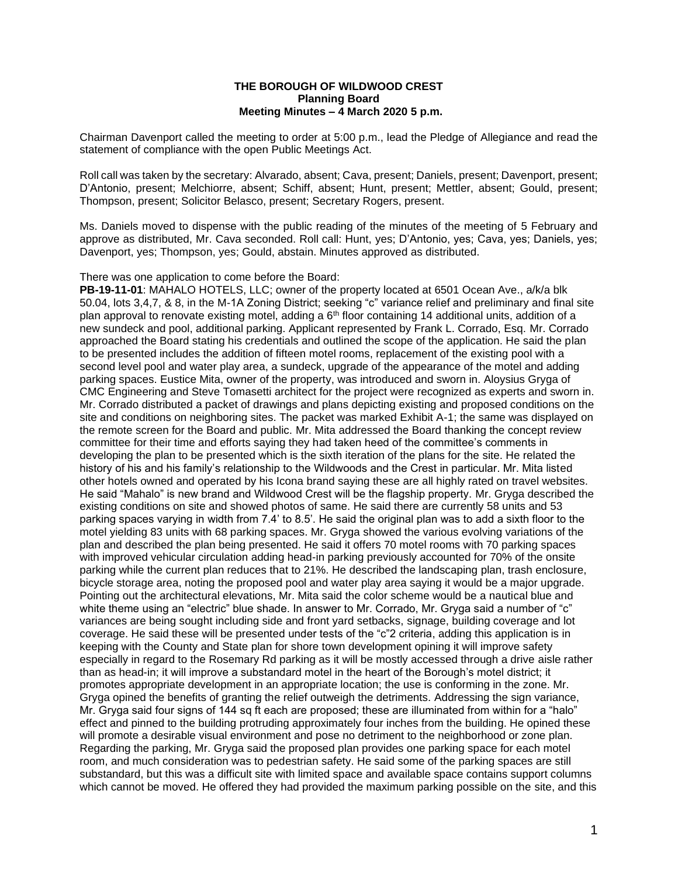## **THE BOROUGH OF WILDWOOD CREST Planning Board Meeting Minutes – 4 March 2020 5 p.m.**

Chairman Davenport called the meeting to order at 5:00 p.m., lead the Pledge of Allegiance and read the statement of compliance with the open Public Meetings Act.

Roll call was taken by the secretary: Alvarado, absent; Cava, present; Daniels, present; Davenport, present; D'Antonio, present; Melchiorre, absent; Schiff, absent; Hunt, present; Mettler, absent; Gould, present; Thompson, present; Solicitor Belasco, present; Secretary Rogers, present.

Ms. Daniels moved to dispense with the public reading of the minutes of the meeting of 5 February and approve as distributed, Mr. Cava seconded. Roll call: Hunt, yes; D'Antonio, yes; Cava, yes; Daniels, yes; Davenport, yes; Thompson, yes; Gould, abstain. Minutes approved as distributed.

## There was one application to come before the Board:

**PB-19-11-01**: MAHALO HOTELS, LLC; owner of the property located at 6501 Ocean Ave., a/k/a blk 50.04, lots 3,4,7, & 8, in the M-1A Zoning District; seeking "c" variance relief and preliminary and final site plan approval to renovate existing motel, adding a  $6<sup>th</sup>$  floor containing 14 additional units, addition of a new sundeck and pool, additional parking. Applicant represented by Frank L. Corrado, Esq. Mr. Corrado approached the Board stating his credentials and outlined the scope of the application. He said the plan to be presented includes the addition of fifteen motel rooms, replacement of the existing pool with a second level pool and water play area, a sundeck, upgrade of the appearance of the motel and adding parking spaces. Eustice Mita, owner of the property, was introduced and sworn in. Aloysius Gryga of CMC Engineering and Steve Tomasetti architect for the project were recognized as experts and sworn in. Mr. Corrado distributed a packet of drawings and plans depicting existing and proposed conditions on the site and conditions on neighboring sites. The packet was marked Exhibit A-1; the same was displayed on the remote screen for the Board and public. Mr. Mita addressed the Board thanking the concept review committee for their time and efforts saying they had taken heed of the committee's comments in developing the plan to be presented which is the sixth iteration of the plans for the site. He related the history of his and his family's relationship to the Wildwoods and the Crest in particular. Mr. Mita listed other hotels owned and operated by his Icona brand saying these are all highly rated on travel websites. He said "Mahalo" is new brand and Wildwood Crest will be the flagship property. Mr. Gryga described the existing conditions on site and showed photos of same. He said there are currently 58 units and 53 parking spaces varying in width from 7.4' to 8.5'. He said the original plan was to add a sixth floor to the motel yielding 83 units with 68 parking spaces. Mr. Gryga showed the various evolving variations of the plan and described the plan being presented. He said it offers 70 motel rooms with 70 parking spaces with improved vehicular circulation adding head-in parking previously accounted for 70% of the onsite parking while the current plan reduces that to 21%. He described the landscaping plan, trash enclosure, bicycle storage area, noting the proposed pool and water play area saying it would be a major upgrade. Pointing out the architectural elevations, Mr. Mita said the color scheme would be a nautical blue and white theme using an "electric" blue shade. In answer to Mr. Corrado, Mr. Gryga said a number of "c" variances are being sought including side and front yard setbacks, signage, building coverage and lot coverage. He said these will be presented under tests of the "c"2 criteria, adding this application is in keeping with the County and State plan for shore town development opining it will improve safety especially in regard to the Rosemary Rd parking as it will be mostly accessed through a drive aisle rather than as head-in; it will improve a substandard motel in the heart of the Borough's motel district; it promotes appropriate development in an appropriate location; the use is conforming in the zone. Mr. Gryga opined the benefits of granting the relief outweigh the detriments. Addressing the sign variance, Mr. Gryga said four signs of 144 sq ft each are proposed; these are illuminated from within for a "halo" effect and pinned to the building protruding approximately four inches from the building. He opined these will promote a desirable visual environment and pose no detriment to the neighborhood or zone plan. Regarding the parking, Mr. Gryga said the proposed plan provides one parking space for each motel room, and much consideration was to pedestrian safety. He said some of the parking spaces are still substandard, but this was a difficult site with limited space and available space contains support columns which cannot be moved. He offered they had provided the maximum parking possible on the site, and this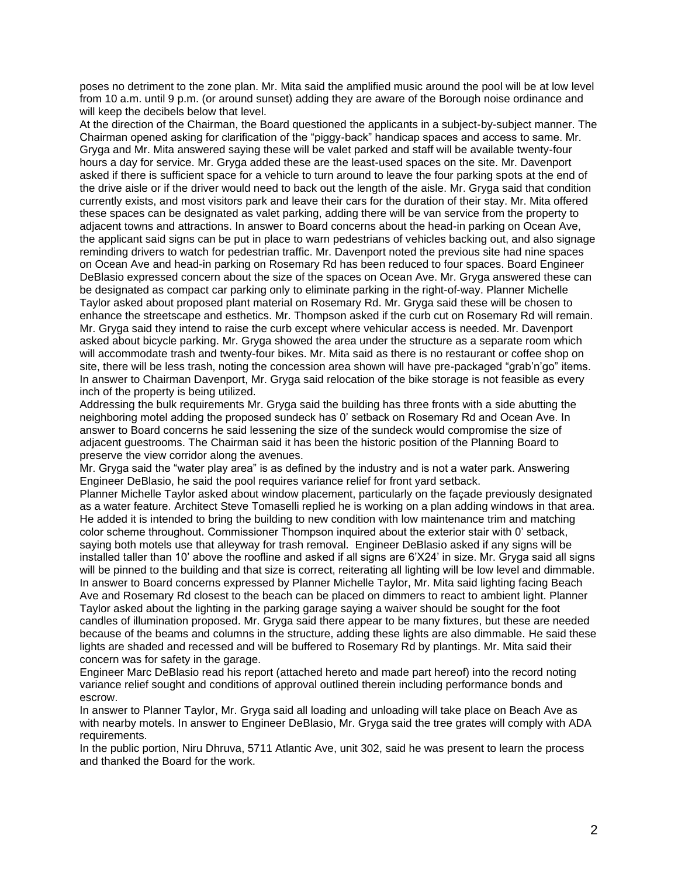poses no detriment to the zone plan. Mr. Mita said the amplified music around the pool will be at low level from 10 a.m. until 9 p.m. (or around sunset) adding they are aware of the Borough noise ordinance and will keep the decibels below that level.

At the direction of the Chairman, the Board questioned the applicants in a subject-by-subject manner. The Chairman opened asking for clarification of the "piggy-back" handicap spaces and access to same. Mr. Gryga and Mr. Mita answered saying these will be valet parked and staff will be available twenty-four hours a day for service. Mr. Gryga added these are the least-used spaces on the site. Mr. Davenport asked if there is sufficient space for a vehicle to turn around to leave the four parking spots at the end of the drive aisle or if the driver would need to back out the length of the aisle. Mr. Gryga said that condition currently exists, and most visitors park and leave their cars for the duration of their stay. Mr. Mita offered these spaces can be designated as valet parking, adding there will be van service from the property to adjacent towns and attractions. In answer to Board concerns about the head-in parking on Ocean Ave, the applicant said signs can be put in place to warn pedestrians of vehicles backing out, and also signage reminding drivers to watch for pedestrian traffic. Mr. Davenport noted the previous site had nine spaces on Ocean Ave and head-in parking on Rosemary Rd has been reduced to four spaces. Board Engineer DeBlasio expressed concern about the size of the spaces on Ocean Ave. Mr. Gryga answered these can be designated as compact car parking only to eliminate parking in the right-of-way. Planner Michelle Taylor asked about proposed plant material on Rosemary Rd. Mr. Gryga said these will be chosen to enhance the streetscape and esthetics. Mr. Thompson asked if the curb cut on Rosemary Rd will remain. Mr. Gryga said they intend to raise the curb except where vehicular access is needed. Mr. Davenport asked about bicycle parking. Mr. Gryga showed the area under the structure as a separate room which will accommodate trash and twenty-four bikes. Mr. Mita said as there is no restaurant or coffee shop on site, there will be less trash, noting the concession area shown will have pre-packaged "grab'n'go" items. In answer to Chairman Davenport, Mr. Gryga said relocation of the bike storage is not feasible as every inch of the property is being utilized.

Addressing the bulk requirements Mr. Gryga said the building has three fronts with a side abutting the neighboring motel adding the proposed sundeck has 0' setback on Rosemary Rd and Ocean Ave. In answer to Board concerns he said lessening the size of the sundeck would compromise the size of adjacent guestrooms. The Chairman said it has been the historic position of the Planning Board to preserve the view corridor along the avenues.

Mr. Gryga said the "water play area" is as defined by the industry and is not a water park. Answering Engineer DeBlasio, he said the pool requires variance relief for front yard setback.

Planner Michelle Taylor asked about window placement, particularly on the façade previously designated as a water feature. Architect Steve Tomaselli replied he is working on a plan adding windows in that area. He added it is intended to bring the building to new condition with low maintenance trim and matching color scheme throughout. Commissioner Thompson inquired about the exterior stair with 0' setback, saying both motels use that alleyway for trash removal. Engineer DeBlasio asked if any signs will be installed taller than 10' above the roofline and asked if all signs are 6'X24' in size. Mr. Gryga said all signs will be pinned to the building and that size is correct, reiterating all lighting will be low level and dimmable. In answer to Board concerns expressed by Planner Michelle Taylor, Mr. Mita said lighting facing Beach Ave and Rosemary Rd closest to the beach can be placed on dimmers to react to ambient light. Planner Taylor asked about the lighting in the parking garage saying a waiver should be sought for the foot candles of illumination proposed. Mr. Gryga said there appear to be many fixtures, but these are needed because of the beams and columns in the structure, adding these lights are also dimmable. He said these lights are shaded and recessed and will be buffered to Rosemary Rd by plantings. Mr. Mita said their concern was for safety in the garage.

Engineer Marc DeBlasio read his report (attached hereto and made part hereof) into the record noting variance relief sought and conditions of approval outlined therein including performance bonds and escrow.

In answer to Planner Taylor, Mr. Gryga said all loading and unloading will take place on Beach Ave as with nearby motels. In answer to Engineer DeBlasio, Mr. Gryga said the tree grates will comply with ADA requirements.

In the public portion, Niru Dhruva, 5711 Atlantic Ave, unit 302, said he was present to learn the process and thanked the Board for the work.